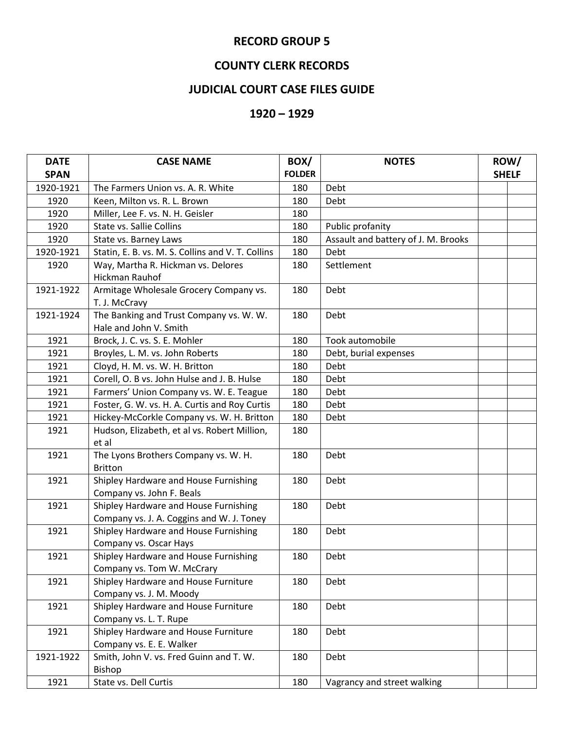## **RECORD GROUP 5**

## **COUNTY CLERK RECORDS**

## **JUDICIAL COURT CASE FILES GUIDE**

## **1920 – 1929**

| <b>DATE</b> | <b>CASE NAME</b>                                                                   | BOX/          | <b>NOTES</b>                        | ROW/         |
|-------------|------------------------------------------------------------------------------------|---------------|-------------------------------------|--------------|
| <b>SPAN</b> |                                                                                    | <b>FOLDER</b> |                                     | <b>SHELF</b> |
| 1920-1921   | The Farmers Union vs. A. R. White                                                  | 180           | Debt                                |              |
| 1920        | Keen, Milton vs. R. L. Brown                                                       | 180           | Debt                                |              |
| 1920        | Miller, Lee F. vs. N. H. Geisler                                                   | 180           |                                     |              |
| 1920        | <b>State vs. Sallie Collins</b>                                                    | 180           | Public profanity                    |              |
| 1920        | State vs. Barney Laws                                                              | 180           | Assault and battery of J. M. Brooks |              |
| 1920-1921   | Statin, E. B. vs. M. S. Collins and V. T. Collins                                  | 180           | Debt                                |              |
| 1920        | Way, Martha R. Hickman vs. Delores<br>Hickman Rauhof                               | 180           | Settlement                          |              |
| 1921-1922   | Armitage Wholesale Grocery Company vs.<br>T. J. McCravy                            | 180           | Debt                                |              |
| 1921-1924   | The Banking and Trust Company vs. W. W.<br>Hale and John V. Smith                  | 180           | Debt                                |              |
| 1921        | Brock, J. C. vs. S. E. Mohler                                                      | 180           | Took automobile                     |              |
| 1921        | Broyles, L. M. vs. John Roberts                                                    | 180           | Debt, burial expenses               |              |
| 1921        | Cloyd, H. M. vs. W. H. Britton                                                     | 180           | Debt                                |              |
| 1921        | Corell, O. B vs. John Hulse and J. B. Hulse                                        | 180           | Debt                                |              |
| 1921        | Farmers' Union Company vs. W. E. Teague                                            | 180           | Debt                                |              |
| 1921        | Foster, G. W. vs. H. A. Curtis and Roy Curtis                                      | 180           | Debt                                |              |
| 1921        | Hickey-McCorkle Company vs. W. H. Britton                                          | 180           | Debt                                |              |
| 1921        | Hudson, Elizabeth, et al vs. Robert Million,<br>et al                              | 180           |                                     |              |
| 1921        | The Lyons Brothers Company vs. W. H.<br><b>Britton</b>                             | 180           | Debt                                |              |
| 1921        | Shipley Hardware and House Furnishing<br>Company vs. John F. Beals                 | 180           | Debt                                |              |
| 1921        | Shipley Hardware and House Furnishing<br>Company vs. J. A. Coggins and W. J. Toney | 180           | Debt                                |              |
| 1921        | Shipley Hardware and House Furnishing<br>Company vs. Oscar Hays                    | 180           | Debt                                |              |
| 1921        | Shipley Hardware and House Furnishing<br>Company vs. Tom W. McCrary                | 180           | Debt                                |              |
| 1921        | Shipley Hardware and House Furniture<br>Company vs. J. M. Moody                    | 180           | Debt                                |              |
| 1921        | Shipley Hardware and House Furniture<br>Company vs. L. T. Rupe                     | 180           | Debt                                |              |
| 1921        | Shipley Hardware and House Furniture<br>Company vs. E. E. Walker                   | 180           | Debt                                |              |
| 1921-1922   | Smith, John V. vs. Fred Guinn and T. W.<br>Bishop                                  | 180           | Debt                                |              |
| 1921        | State vs. Dell Curtis                                                              | 180           | Vagrancy and street walking         |              |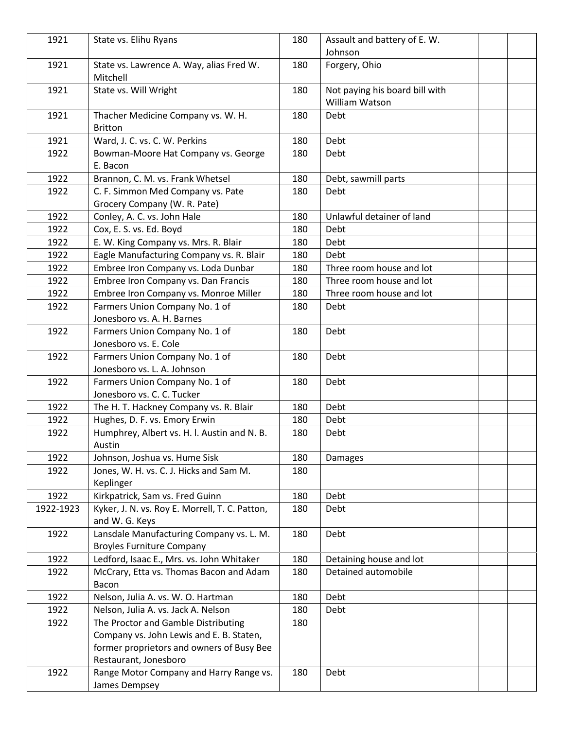| 1921      | State vs. Elihu Ryans                                                        | 180 | Assault and battery of E. W.                     |  |
|-----------|------------------------------------------------------------------------------|-----|--------------------------------------------------|--|
|           |                                                                              |     | Johnson                                          |  |
| 1921      | State vs. Lawrence A. Way, alias Fred W.<br>Mitchell                         | 180 | Forgery, Ohio                                    |  |
| 1921      | State vs. Will Wright                                                        | 180 | Not paying his board bill with<br>William Watson |  |
| 1921      | Thacher Medicine Company vs. W. H.<br><b>Britton</b>                         | 180 | Debt                                             |  |
| 1921      | Ward, J. C. vs. C. W. Perkins                                                | 180 | Debt                                             |  |
| 1922      | Bowman-Moore Hat Company vs. George<br>E. Bacon                              | 180 | Debt                                             |  |
| 1922      | Brannon, C. M. vs. Frank Whetsel                                             | 180 | Debt, sawmill parts                              |  |
| 1922      | C. F. Simmon Med Company vs. Pate                                            | 180 | Debt                                             |  |
|           | Grocery Company (W. R. Pate)                                                 |     |                                                  |  |
| 1922      | Conley, A. C. vs. John Hale                                                  | 180 | Unlawful detainer of land                        |  |
| 1922      | Cox, E. S. vs. Ed. Boyd                                                      | 180 | Debt                                             |  |
| 1922      | E. W. King Company vs. Mrs. R. Blair                                         | 180 | Debt                                             |  |
| 1922      | Eagle Manufacturing Company vs. R. Blair                                     | 180 | Debt                                             |  |
| 1922      | Embree Iron Company vs. Loda Dunbar                                          | 180 | Three room house and lot                         |  |
| 1922      | Embree Iron Company vs. Dan Francis                                          | 180 | Three room house and lot                         |  |
| 1922      | Embree Iron Company vs. Monroe Miller                                        | 180 | Three room house and lot                         |  |
| 1922      | Farmers Union Company No. 1 of                                               | 180 | Debt                                             |  |
|           | Jonesboro vs. A. H. Barnes                                                   |     |                                                  |  |
| 1922      | Farmers Union Company No. 1 of                                               | 180 | Debt                                             |  |
|           | Jonesboro vs. E. Cole                                                        |     |                                                  |  |
| 1922      | Farmers Union Company No. 1 of                                               | 180 | Debt                                             |  |
|           | Jonesboro vs. L. A. Johnson                                                  |     |                                                  |  |
| 1922      | Farmers Union Company No. 1 of                                               | 180 | Debt                                             |  |
|           | Jonesboro vs. C. C. Tucker                                                   |     |                                                  |  |
| 1922      | The H. T. Hackney Company vs. R. Blair                                       | 180 | Debt                                             |  |
| 1922      | Hughes, D. F. vs. Emory Erwin                                                | 180 | Debt                                             |  |
| 1922      | Humphrey, Albert vs. H. I. Austin and N. B.                                  | 180 | Debt                                             |  |
|           | Austin                                                                       |     |                                                  |  |
| 1922      | Johnson, Joshua vs. Hume Sisk                                                | 180 | <b>Damages</b>                                   |  |
| 1922      | Jones, W. H. vs. C. J. Hicks and Sam M.<br>Keplinger                         | 180 |                                                  |  |
| 1922      | Kirkpatrick, Sam vs. Fred Guinn                                              | 180 | Debt                                             |  |
| 1922-1923 | Kyker, J. N. vs. Roy E. Morrell, T. C. Patton,<br>and W. G. Keys             | 180 | Debt                                             |  |
| 1922      | Lansdale Manufacturing Company vs. L. M.<br><b>Broyles Furniture Company</b> | 180 | Debt                                             |  |
| 1922      | Ledford, Isaac E., Mrs. vs. John Whitaker                                    | 180 | Detaining house and lot                          |  |
| 1922      | McCrary, Etta vs. Thomas Bacon and Adam<br>Bacon                             | 180 | Detained automobile                              |  |
| 1922      | Nelson, Julia A. vs. W. O. Hartman                                           | 180 | Debt                                             |  |
| 1922      | Nelson, Julia A. vs. Jack A. Nelson                                          | 180 | Debt                                             |  |
| 1922      | The Proctor and Gamble Distributing                                          | 180 |                                                  |  |
|           | Company vs. John Lewis and E. B. Staten,                                     |     |                                                  |  |
|           | former proprietors and owners of Busy Bee                                    |     |                                                  |  |
|           | Restaurant, Jonesboro                                                        |     |                                                  |  |
| 1922      | Range Motor Company and Harry Range vs.                                      | 180 | Debt                                             |  |
|           | James Dempsey                                                                |     |                                                  |  |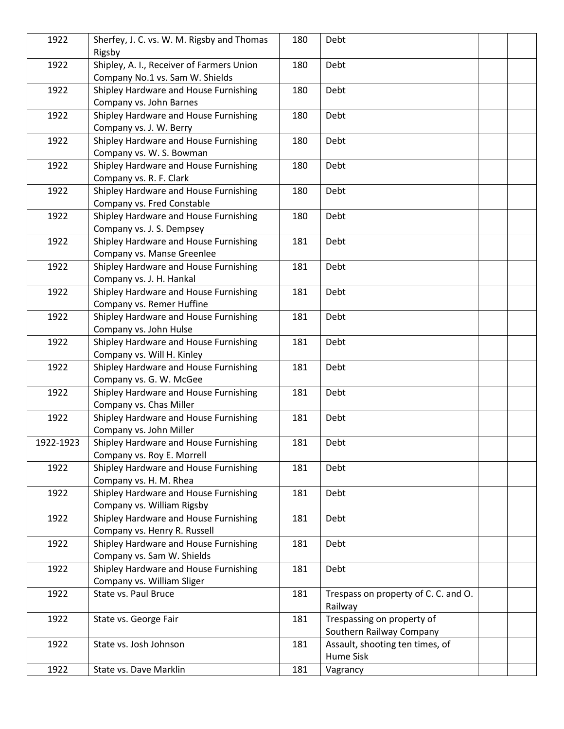| 1922      | Sherfey, J. C. vs. W. M. Rigsby and Thomas<br>Rigsby                         | 180 | Debt                                                   |  |
|-----------|------------------------------------------------------------------------------|-----|--------------------------------------------------------|--|
| 1922      | Shipley, A. I., Receiver of Farmers Union<br>Company No.1 vs. Sam W. Shields | 180 | Debt                                                   |  |
| 1922      | Shipley Hardware and House Furnishing<br>Company vs. John Barnes             | 180 | Debt                                                   |  |
| 1922      | Shipley Hardware and House Furnishing<br>Company vs. J. W. Berry             | 180 | Debt                                                   |  |
| 1922      | Shipley Hardware and House Furnishing<br>Company vs. W. S. Bowman            | 180 | Debt                                                   |  |
| 1922      | Shipley Hardware and House Furnishing<br>Company vs. R. F. Clark             | 180 | Debt                                                   |  |
| 1922      | Shipley Hardware and House Furnishing<br>Company vs. Fred Constable          | 180 | Debt                                                   |  |
| 1922      | Shipley Hardware and House Furnishing<br>Company vs. J. S. Dempsey           | 180 | Debt                                                   |  |
| 1922      | Shipley Hardware and House Furnishing<br>Company vs. Manse Greenlee          | 181 | Debt                                                   |  |
| 1922      | Shipley Hardware and House Furnishing<br>Company vs. J. H. Hankal            | 181 | Debt                                                   |  |
| 1922      | Shipley Hardware and House Furnishing<br>Company vs. Remer Huffine           | 181 | Debt                                                   |  |
| 1922      | Shipley Hardware and House Furnishing<br>Company vs. John Hulse              | 181 | Debt                                                   |  |
| 1922      | Shipley Hardware and House Furnishing<br>Company vs. Will H. Kinley          | 181 | Debt                                                   |  |
| 1922      | Shipley Hardware and House Furnishing<br>Company vs. G. W. McGee             | 181 | Debt                                                   |  |
| 1922      | Shipley Hardware and House Furnishing<br>Company vs. Chas Miller             | 181 | Debt                                                   |  |
| 1922      | Shipley Hardware and House Furnishing<br>Company vs. John Miller             | 181 | Debt                                                   |  |
| 1922-1923 | Shipley Hardware and House Furnishing<br>Company vs. Roy E. Morrell          | 181 | Debt                                                   |  |
| 1922      | Shipley Hardware and House Furnishing<br>Company vs. H. M. Rhea              | 181 | Debt                                                   |  |
| 1922      | Shipley Hardware and House Furnishing<br>Company vs. William Rigsby          | 181 | Debt                                                   |  |
| 1922      | Shipley Hardware and House Furnishing<br>Company vs. Henry R. Russell        | 181 | Debt                                                   |  |
| 1922      | Shipley Hardware and House Furnishing<br>Company vs. Sam W. Shields          | 181 | Debt                                                   |  |
| 1922      | Shipley Hardware and House Furnishing<br>Company vs. William Sliger          | 181 | Debt                                                   |  |
| 1922      | State vs. Paul Bruce                                                         | 181 | Trespass on property of C. C. and O.<br>Railway        |  |
| 1922      | State vs. George Fair                                                        | 181 | Trespassing on property of<br>Southern Railway Company |  |
| 1922      | State vs. Josh Johnson                                                       | 181 | Assault, shooting ten times, of<br>Hume Sisk           |  |
| 1922      | State vs. Dave Marklin                                                       | 181 | Vagrancy                                               |  |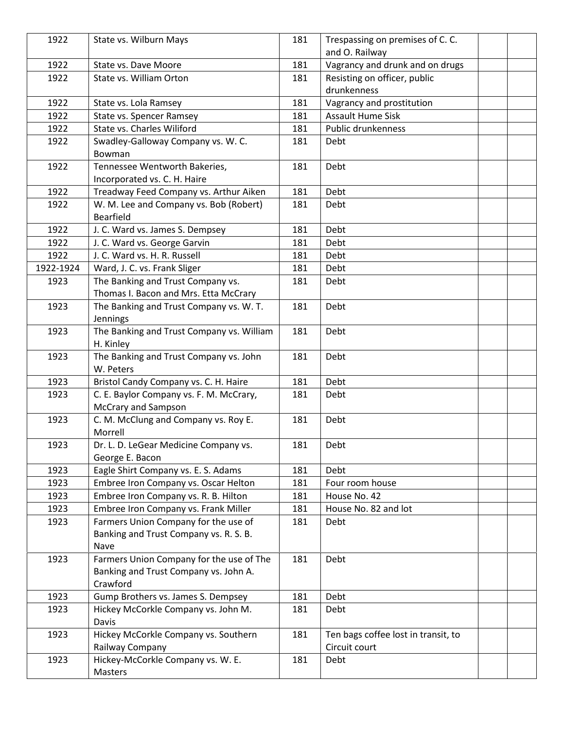| 1922      | State vs. Wilburn Mays                    | 181 | Trespassing on premises of C. C.    |  |
|-----------|-------------------------------------------|-----|-------------------------------------|--|
|           |                                           |     | and O. Railway                      |  |
| 1922      | State vs. Dave Moore                      | 181 | Vagrancy and drunk and on drugs     |  |
| 1922      | State vs. William Orton                   | 181 | Resisting on officer, public        |  |
|           |                                           |     | drunkenness                         |  |
| 1922      | State vs. Lola Ramsey                     | 181 | Vagrancy and prostitution           |  |
| 1922      | State vs. Spencer Ramsey                  | 181 | <b>Assault Hume Sisk</b>            |  |
| 1922      | State vs. Charles Wiliford                | 181 | Public drunkenness                  |  |
| 1922      | Swadley-Galloway Company vs. W. C.        | 181 | Debt                                |  |
|           | Bowman                                    |     |                                     |  |
| 1922      | Tennessee Wentworth Bakeries,             | 181 | Debt                                |  |
|           | Incorporated vs. C. H. Haire              |     |                                     |  |
| 1922      | Treadway Feed Company vs. Arthur Aiken    | 181 | Debt                                |  |
| 1922      | W. M. Lee and Company vs. Bob (Robert)    | 181 | Debt                                |  |
|           | <b>Bearfield</b>                          |     |                                     |  |
| 1922      | J. C. Ward vs. James S. Dempsey           | 181 | Debt                                |  |
| 1922      | J. C. Ward vs. George Garvin              | 181 | Debt                                |  |
| 1922      | J. C. Ward vs. H. R. Russell              | 181 | Debt                                |  |
| 1922-1924 | Ward, J. C. vs. Frank Sliger              | 181 | Debt                                |  |
| 1923      | The Banking and Trust Company vs.         | 181 | Debt                                |  |
|           | Thomas I. Bacon and Mrs. Etta McCrary     |     |                                     |  |
| 1923      | The Banking and Trust Company vs. W. T.   | 181 | Debt                                |  |
|           | Jennings                                  |     |                                     |  |
| 1923      | The Banking and Trust Company vs. William | 181 | Debt                                |  |
|           | H. Kinley                                 |     |                                     |  |
| 1923      | The Banking and Trust Company vs. John    | 181 | Debt                                |  |
|           | W. Peters                                 |     |                                     |  |
| 1923      | Bristol Candy Company vs. C. H. Haire     | 181 | Debt                                |  |
| 1923      | C. E. Baylor Company vs. F. M. McCrary,   | 181 | Debt                                |  |
|           | <b>McCrary and Sampson</b>                |     |                                     |  |
| 1923      | C. M. McClung and Company vs. Roy E.      | 181 | Debt                                |  |
|           | Morrell                                   |     |                                     |  |
| 1923      | Dr. L. D. LeGear Medicine Company vs.     | 181 | Debt                                |  |
|           | George E. Bacon                           |     |                                     |  |
| 1923      | Eagle Shirt Company vs. E. S. Adams       | 181 | Debt                                |  |
| 1923      | Embree Iron Company vs. Oscar Helton      | 181 | Four room house                     |  |
| 1923      | Embree Iron Company vs. R. B. Hilton      | 181 | House No. 42                        |  |
| 1923      | Embree Iron Company vs. Frank Miller      | 181 | House No. 82 and lot                |  |
| 1923      | Farmers Union Company for the use of      | 181 | Debt                                |  |
|           | Banking and Trust Company vs. R. S. B.    |     |                                     |  |
|           | Nave                                      |     |                                     |  |
| 1923      | Farmers Union Company for the use of The  | 181 | Debt                                |  |
|           | Banking and Trust Company vs. John A.     |     |                                     |  |
|           | Crawford                                  |     |                                     |  |
| 1923      | Gump Brothers vs. James S. Dempsey        | 181 | Debt                                |  |
| 1923      | Hickey McCorkle Company vs. John M.       | 181 | Debt                                |  |
|           | Davis                                     |     |                                     |  |
| 1923      | Hickey McCorkle Company vs. Southern      | 181 | Ten bags coffee lost in transit, to |  |
|           | Railway Company                           |     | Circuit court                       |  |
| 1923      | Hickey-McCorkle Company vs. W. E.         | 181 | Debt                                |  |
|           | Masters                                   |     |                                     |  |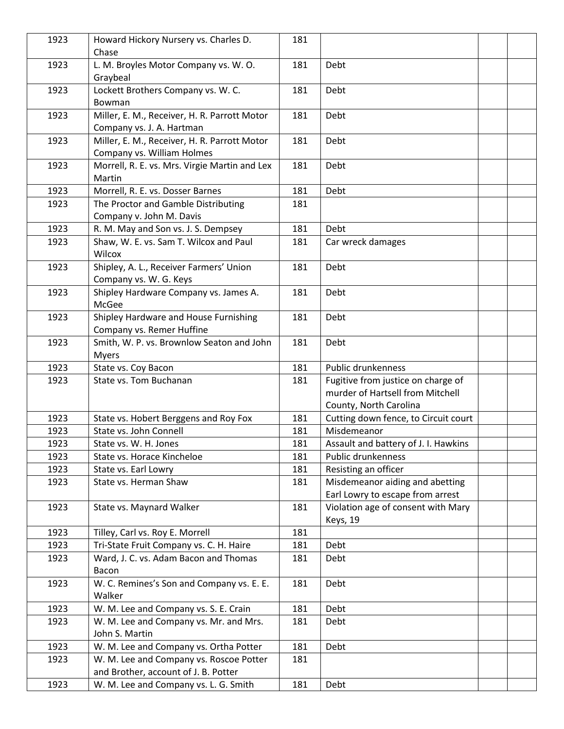| 1923 | Howard Hickory Nursery vs. Charles D.<br>Chase                             | 181 |                                                                                                  |  |
|------|----------------------------------------------------------------------------|-----|--------------------------------------------------------------------------------------------------|--|
| 1923 | L. M. Broyles Motor Company vs. W. O.<br>Graybeal                          | 181 | Debt                                                                                             |  |
| 1923 | Lockett Brothers Company vs. W. C.<br>Bowman                               | 181 | Debt                                                                                             |  |
| 1923 | Miller, E. M., Receiver, H. R. Parrott Motor<br>Company vs. J. A. Hartman  | 181 | Debt                                                                                             |  |
| 1923 | Miller, E. M., Receiver, H. R. Parrott Motor<br>Company vs. William Holmes | 181 | Debt                                                                                             |  |
| 1923 | Morrell, R. E. vs. Mrs. Virgie Martin and Lex<br>Martin                    | 181 | Debt                                                                                             |  |
| 1923 | Morrell, R. E. vs. Dosser Barnes                                           | 181 | Debt                                                                                             |  |
| 1923 | The Proctor and Gamble Distributing                                        | 181 |                                                                                                  |  |
|      | Company v. John M. Davis                                                   |     |                                                                                                  |  |
| 1923 | R. M. May and Son vs. J. S. Dempsey                                        | 181 | Debt                                                                                             |  |
| 1923 | Shaw, W. E. vs. Sam T. Wilcox and Paul                                     | 181 | Car wreck damages                                                                                |  |
|      | Wilcox                                                                     |     |                                                                                                  |  |
| 1923 | Shipley, A. L., Receiver Farmers' Union                                    | 181 | Debt                                                                                             |  |
|      | Company vs. W. G. Keys                                                     |     |                                                                                                  |  |
| 1923 | Shipley Hardware Company vs. James A.<br>McGee                             | 181 | Debt                                                                                             |  |
| 1923 | Shipley Hardware and House Furnishing                                      | 181 | Debt                                                                                             |  |
|      | Company vs. Remer Huffine                                                  |     |                                                                                                  |  |
| 1923 | Smith, W. P. vs. Brownlow Seaton and John<br><b>Myers</b>                  | 181 | Debt                                                                                             |  |
| 1923 | State vs. Coy Bacon                                                        | 181 | Public drunkenness                                                                               |  |
| 1923 | State vs. Tom Buchanan                                                     | 181 | Fugitive from justice on charge of<br>murder of Hartsell from Mitchell<br>County, North Carolina |  |
| 1923 | State vs. Hobert Berggens and Roy Fox                                      | 181 | Cutting down fence, to Circuit court                                                             |  |
| 1923 | State vs. John Connell                                                     | 181 | Misdemeanor                                                                                      |  |
| 1923 | State vs. W. H. Jones                                                      | 181 | Assault and battery of J. I. Hawkins                                                             |  |
| 1923 | State vs. Horace Kincheloe                                                 | 181 | Public drunkenness                                                                               |  |
| 1923 | State vs. Earl Lowry                                                       | 181 | Resisting an officer                                                                             |  |
| 1923 | State vs. Herman Shaw                                                      | 181 | Misdemeanor aiding and abetting                                                                  |  |
|      |                                                                            |     | Earl Lowry to escape from arrest                                                                 |  |
| 1923 | State vs. Maynard Walker                                                   | 181 | Violation age of consent with Mary<br><b>Keys</b> , 19                                           |  |
| 1923 | Tilley, Carl vs. Roy E. Morrell                                            | 181 |                                                                                                  |  |
| 1923 | Tri-State Fruit Company vs. C. H. Haire                                    | 181 | Debt                                                                                             |  |
| 1923 | Ward, J. C. vs. Adam Bacon and Thomas                                      | 181 | Debt                                                                                             |  |
|      | Bacon                                                                      |     |                                                                                                  |  |
| 1923 | W. C. Remines's Son and Company vs. E. E.<br>Walker                        | 181 | Debt                                                                                             |  |
| 1923 | W. M. Lee and Company vs. S. E. Crain                                      | 181 | Debt                                                                                             |  |
| 1923 | W. M. Lee and Company vs. Mr. and Mrs.                                     | 181 | Debt                                                                                             |  |
|      | John S. Martin                                                             |     |                                                                                                  |  |
| 1923 | W. M. Lee and Company vs. Ortha Potter                                     | 181 | Debt                                                                                             |  |
| 1923 | W. M. Lee and Company vs. Roscoe Potter                                    | 181 |                                                                                                  |  |
|      | and Brother, account of J. B. Potter                                       |     |                                                                                                  |  |
| 1923 | W. M. Lee and Company vs. L. G. Smith                                      | 181 | Debt                                                                                             |  |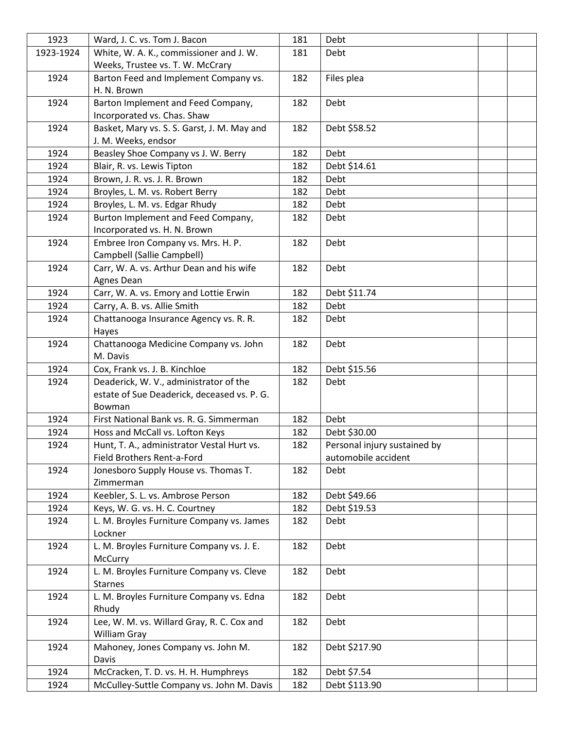| 1923      | Ward, J. C. vs. Tom J. Bacon                | 181 | Debt                         |  |
|-----------|---------------------------------------------|-----|------------------------------|--|
| 1923-1924 | White, W. A. K., commissioner and J. W.     | 181 | Debt                         |  |
|           | Weeks, Trustee vs. T. W. McCrary            |     |                              |  |
| 1924      | Barton Feed and Implement Company vs.       | 182 | Files plea                   |  |
|           | H. N. Brown                                 |     |                              |  |
| 1924      | Barton Implement and Feed Company,          | 182 | Debt                         |  |
|           | Incorporated vs. Chas. Shaw                 |     |                              |  |
| 1924      | Basket, Mary vs. S. S. Garst, J. M. May and | 182 | Debt \$58.52                 |  |
|           | J. M. Weeks, endsor                         |     |                              |  |
| 1924      | Beasley Shoe Company vs J. W. Berry         | 182 | Debt                         |  |
| 1924      | Blair, R. vs. Lewis Tipton                  | 182 | Debt \$14.61                 |  |
| 1924      | Brown, J. R. vs. J. R. Brown                | 182 | Debt                         |  |
| 1924      | Broyles, L. M. vs. Robert Berry             | 182 | Debt                         |  |
| 1924      | Broyles, L. M. vs. Edgar Rhudy              | 182 | Debt                         |  |
| 1924      | Burton Implement and Feed Company,          | 182 | Debt                         |  |
|           | Incorporated vs. H. N. Brown                |     |                              |  |
| 1924      | Embree Iron Company vs. Mrs. H. P.          | 182 | Debt                         |  |
|           | Campbell (Sallie Campbell)                  |     |                              |  |
| 1924      | Carr, W. A. vs. Arthur Dean and his wife    | 182 | Debt                         |  |
|           | Agnes Dean                                  |     |                              |  |
| 1924      | Carr, W. A. vs. Emory and Lottie Erwin      | 182 | Debt \$11.74                 |  |
| 1924      | Carry, A. B. vs. Allie Smith                | 182 | Debt                         |  |
| 1924      | Chattanooga Insurance Agency vs. R. R.      | 182 | Debt                         |  |
|           | Hayes                                       |     |                              |  |
| 1924      | Chattanooga Medicine Company vs. John       | 182 | Debt                         |  |
|           | M. Davis                                    |     |                              |  |
| 1924      | Cox, Frank vs. J. B. Kinchloe               | 182 | Debt \$15.56                 |  |
| 1924      | Deaderick, W. V., administrator of the      | 182 | Debt                         |  |
|           | estate of Sue Deaderick, deceased vs. P. G. |     |                              |  |
|           | Bowman                                      |     |                              |  |
| 1924      | First National Bank vs. R. G. Simmerman     | 182 | Debt                         |  |
| 1924      | Hoss and McCall vs. Lofton Keys             | 182 | Debt \$30.00                 |  |
| 1924      | Hunt, T. A., administrator Vestal Hurt vs.  | 182 | Personal injury sustained by |  |
|           | Field Brothers Rent-a-Ford                  |     | automobile accident          |  |
| 1924      | Jonesboro Supply House vs. Thomas T.        | 182 | Debt                         |  |
|           | Zimmerman                                   |     |                              |  |
| 1924      | Keebler, S. L. vs. Ambrose Person           | 182 | Debt \$49.66                 |  |
| 1924      | Keys, W. G. vs. H. C. Courtney              | 182 | Debt \$19.53                 |  |
| 1924      | L. M. Broyles Furniture Company vs. James   | 182 | Debt                         |  |
|           | Lockner                                     |     |                              |  |
| 1924      | L. M. Broyles Furniture Company vs. J. E.   | 182 | Debt                         |  |
|           | McCurry                                     |     |                              |  |
| 1924      | L. M. Broyles Furniture Company vs. Cleve   | 182 | Debt                         |  |
|           | <b>Starnes</b>                              |     |                              |  |
| 1924      | L. M. Broyles Furniture Company vs. Edna    | 182 | Debt                         |  |
|           | Rhudy                                       |     |                              |  |
| 1924      | Lee, W. M. vs. Willard Gray, R. C. Cox and  | 182 | Debt                         |  |
|           | William Gray                                |     |                              |  |
| 1924      | Mahoney, Jones Company vs. John M.          | 182 | Debt \$217.90                |  |
|           | Davis                                       |     |                              |  |
| 1924      | McCracken, T. D. vs. H. H. Humphreys        | 182 | Debt \$7.54                  |  |
| 1924      | McCulley-Suttle Company vs. John M. Davis   | 182 | Debt \$113.90                |  |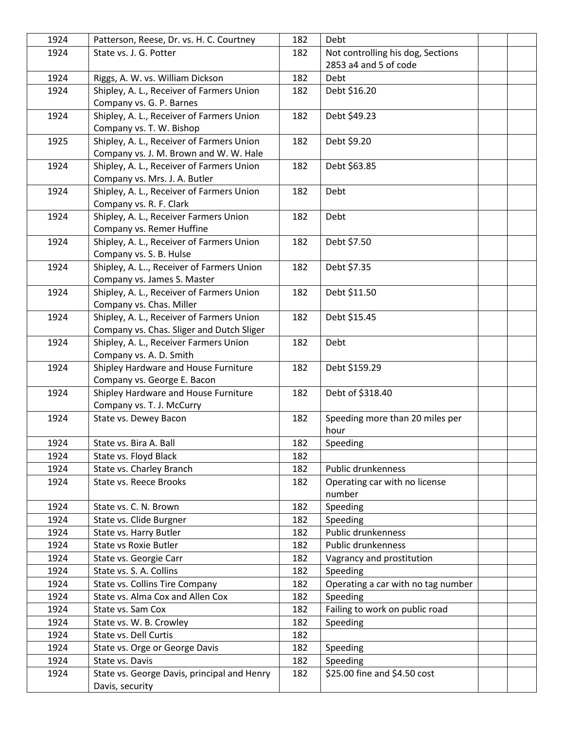| 1924 | Patterson, Reese, Dr. vs. H. C. Courtney    | 182 | Debt                               |  |
|------|---------------------------------------------|-----|------------------------------------|--|
| 1924 | State vs. J. G. Potter                      | 182 | Not controlling his dog, Sections  |  |
|      |                                             |     | 2853 a4 and 5 of code              |  |
| 1924 | Riggs, A. W. vs. William Dickson            | 182 | Debt                               |  |
| 1924 | Shipley, A. L., Receiver of Farmers Union   | 182 | Debt \$16.20                       |  |
|      | Company vs. G. P. Barnes                    |     |                                    |  |
| 1924 | Shipley, A. L., Receiver of Farmers Union   | 182 | Debt \$49.23                       |  |
|      | Company vs. T. W. Bishop                    |     |                                    |  |
| 1925 | Shipley, A. L., Receiver of Farmers Union   | 182 | Debt \$9.20                        |  |
|      | Company vs. J. M. Brown and W. W. Hale      |     |                                    |  |
| 1924 | Shipley, A. L., Receiver of Farmers Union   | 182 | Debt \$63.85                       |  |
|      | Company vs. Mrs. J. A. Butler               |     |                                    |  |
| 1924 | Shipley, A. L., Receiver of Farmers Union   | 182 | Debt                               |  |
|      | Company vs. R. F. Clark                     |     |                                    |  |
| 1924 | Shipley, A. L., Receiver Farmers Union      | 182 | Debt                               |  |
|      | Company vs. Remer Huffine                   |     |                                    |  |
| 1924 | Shipley, A. L., Receiver of Farmers Union   | 182 | Debt \$7.50                        |  |
|      | Company vs. S. B. Hulse                     |     |                                    |  |
| 1924 | Shipley, A. L, Receiver of Farmers Union    | 182 | Debt \$7.35                        |  |
|      | Company vs. James S. Master                 |     |                                    |  |
| 1924 | Shipley, A. L., Receiver of Farmers Union   | 182 | Debt \$11.50                       |  |
|      | Company vs. Chas. Miller                    |     |                                    |  |
| 1924 | Shipley, A. L., Receiver of Farmers Union   | 182 | Debt \$15.45                       |  |
|      | Company vs. Chas. Sliger and Dutch Sliger   |     |                                    |  |
| 1924 | Shipley, A. L., Receiver Farmers Union      | 182 | Debt                               |  |
|      | Company vs. A. D. Smith                     |     |                                    |  |
| 1924 | Shipley Hardware and House Furniture        | 182 | Debt \$159.29                      |  |
|      | Company vs. George E. Bacon                 |     |                                    |  |
| 1924 | Shipley Hardware and House Furniture        | 182 | Debt of \$318.40                   |  |
|      | Company vs. T. J. McCurry                   |     |                                    |  |
| 1924 | State vs. Dewey Bacon                       | 182 | Speeding more than 20 miles per    |  |
|      |                                             |     | hour                               |  |
| 1924 | State vs. Bira A. Ball                      | 182 | Speeding                           |  |
| 1924 | State vs. Floyd Black                       | 182 |                                    |  |
| 1924 | State vs. Charley Branch                    | 182 | Public drunkenness                 |  |
| 1924 | <b>State vs. Reece Brooks</b>               | 182 | Operating car with no license      |  |
|      |                                             |     | number                             |  |
| 1924 | State vs. C. N. Brown                       | 182 | Speeding                           |  |
| 1924 | State vs. Clide Burgner                     | 182 | Speeding                           |  |
| 1924 | State vs. Harry Butler                      | 182 | Public drunkenness                 |  |
| 1924 | <b>State vs Roxie Butler</b>                | 182 | Public drunkenness                 |  |
| 1924 | State vs. Georgie Carr                      | 182 | Vagrancy and prostitution          |  |
| 1924 | State vs. S. A. Collins                     | 182 | Speeding                           |  |
| 1924 | State vs. Collins Tire Company              | 182 | Operating a car with no tag number |  |
| 1924 | State vs. Alma Cox and Allen Cox            | 182 | Speeding                           |  |
| 1924 | State vs. Sam Cox                           | 182 | Failing to work on public road     |  |
| 1924 | State vs. W. B. Crowley                     | 182 | Speeding                           |  |
| 1924 | State vs. Dell Curtis                       | 182 |                                    |  |
| 1924 | State vs. Orge or George Davis              | 182 | Speeding                           |  |
| 1924 | State vs. Davis                             | 182 | Speeding                           |  |
| 1924 | State vs. George Davis, principal and Henry | 182 | \$25.00 fine and \$4.50 cost       |  |
|      | Davis, security                             |     |                                    |  |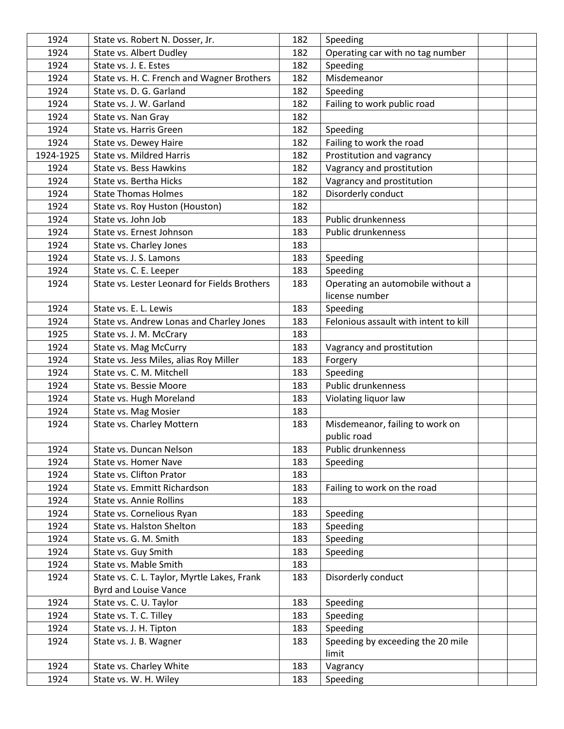| 1924      | State vs. Robert N. Dosser, Jr.              | 182 | Speeding                              |  |
|-----------|----------------------------------------------|-----|---------------------------------------|--|
| 1924      | State vs. Albert Dudley                      | 182 | Operating car with no tag number      |  |
| 1924      | State vs. J. E. Estes                        | 182 | Speeding                              |  |
| 1924      | State vs. H. C. French and Wagner Brothers   | 182 | Misdemeanor                           |  |
| 1924      | State vs. D. G. Garland                      | 182 | Speeding                              |  |
| 1924      | State vs. J. W. Garland                      | 182 | Failing to work public road           |  |
| 1924      | State vs. Nan Gray                           | 182 |                                       |  |
| 1924      | State vs. Harris Green                       | 182 | Speeding                              |  |
| 1924      | State vs. Dewey Haire                        | 182 | Failing to work the road              |  |
| 1924-1925 | <b>State vs. Mildred Harris</b>              | 182 | Prostitution and vagrancy             |  |
| 1924      | State vs. Bess Hawkins                       | 182 | Vagrancy and prostitution             |  |
| 1924      | State vs. Bertha Hicks                       | 182 | Vagrancy and prostitution             |  |
| 1924      | <b>State Thomas Holmes</b>                   | 182 | Disorderly conduct                    |  |
| 1924      | State vs. Roy Huston (Houston)               | 182 |                                       |  |
| 1924      | State vs. John Job                           | 183 | Public drunkenness                    |  |
| 1924      | State vs. Ernest Johnson                     | 183 | Public drunkenness                    |  |
| 1924      | State vs. Charley Jones                      | 183 |                                       |  |
| 1924      | State vs. J. S. Lamons                       | 183 | Speeding                              |  |
| 1924      | State vs. C. E. Leeper                       | 183 | Speeding                              |  |
| 1924      | State vs. Lester Leonard for Fields Brothers | 183 | Operating an automobile without a     |  |
|           |                                              |     | license number                        |  |
| 1924      | State vs. E. L. Lewis                        | 183 | Speeding                              |  |
| 1924      | State vs. Andrew Lonas and Charley Jones     | 183 | Felonious assault with intent to kill |  |
| 1925      | State vs. J. M. McCrary                      | 183 |                                       |  |
| 1924      | State vs. Mag McCurry                        | 183 | Vagrancy and prostitution             |  |
| 1924      | State vs. Jess Miles, alias Roy Miller       | 183 | Forgery                               |  |
| 1924      | State vs. C. M. Mitchell                     | 183 | Speeding                              |  |
| 1924      | State vs. Bessie Moore                       | 183 | Public drunkenness                    |  |
| 1924      | State vs. Hugh Moreland                      | 183 | Violating liquor law                  |  |
| 1924      | State vs. Mag Mosier                         | 183 |                                       |  |
| 1924      | State vs. Charley Mottern                    | 183 | Misdemeanor, failing to work on       |  |
|           |                                              |     | public road                           |  |
| 1924      | State vs. Duncan Nelson                      | 183 | Public drunkenness                    |  |
| 1924      | State vs. Homer Nave                         | 183 | Speeding                              |  |
| 1924      | State vs. Clifton Prator                     | 183 |                                       |  |
| 1924      | State vs. Emmitt Richardson                  | 183 | Failing to work on the road           |  |
| 1924      | <b>State vs. Annie Rollins</b>               | 183 |                                       |  |
| 1924      | State vs. Cornelious Ryan                    | 183 | Speeding                              |  |
| 1924      | State vs. Halston Shelton                    | 183 | Speeding                              |  |
| 1924      | State vs. G. M. Smith                        | 183 | Speeding                              |  |
| 1924      | State vs. Guy Smith                          | 183 | Speeding                              |  |
| 1924      | State vs. Mable Smith                        | 183 |                                       |  |
| 1924      | State vs. C. L. Taylor, Myrtle Lakes, Frank  | 183 | Disorderly conduct                    |  |
|           | Byrd and Louise Vance                        |     |                                       |  |
| 1924      | State vs. C. U. Taylor                       | 183 | Speeding                              |  |
| 1924      | State vs. T. C. Tilley                       | 183 | Speeding                              |  |
| 1924      | State vs. J. H. Tipton                       | 183 | Speeding                              |  |
| 1924      | State vs. J. B. Wagner                       | 183 | Speeding by exceeding the 20 mile     |  |
|           |                                              |     | limit                                 |  |
| 1924      | State vs. Charley White                      | 183 | Vagrancy                              |  |
| 1924      | State vs. W. H. Wiley                        | 183 | Speeding                              |  |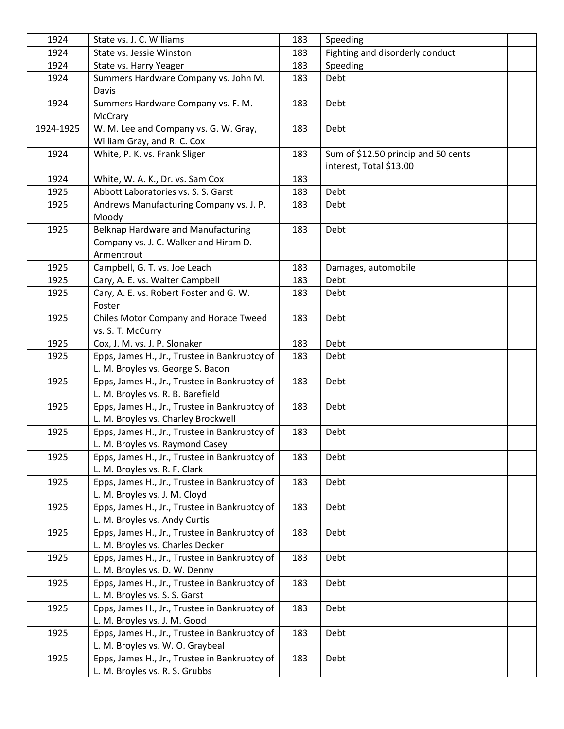| 1924      | State vs. J. C. Williams                                                             | 183 | Speeding                            |  |
|-----------|--------------------------------------------------------------------------------------|-----|-------------------------------------|--|
| 1924      | State vs. Jessie Winston                                                             | 183 | Fighting and disorderly conduct     |  |
| 1924      | State vs. Harry Yeager                                                               | 183 | Speeding                            |  |
| 1924      | Summers Hardware Company vs. John M.                                                 | 183 | Debt                                |  |
|           | Davis                                                                                |     |                                     |  |
| 1924      | Summers Hardware Company vs. F. M.                                                   | 183 | Debt                                |  |
|           | McCrary                                                                              |     |                                     |  |
| 1924-1925 | W. M. Lee and Company vs. G. W. Gray,                                                | 183 | Debt                                |  |
|           | William Gray, and R. C. Cox                                                          |     |                                     |  |
| 1924      | White, P. K. vs. Frank Sliger                                                        | 183 | Sum of \$12.50 princip and 50 cents |  |
|           |                                                                                      |     | interest, Total \$13.00             |  |
| 1924      | White, W. A. K., Dr. vs. Sam Cox                                                     | 183 |                                     |  |
| 1925      | Abbott Laboratories vs. S. S. Garst                                                  | 183 | Debt                                |  |
| 1925      | Andrews Manufacturing Company vs. J. P.                                              | 183 | Debt                                |  |
|           | Moody                                                                                |     |                                     |  |
| 1925      | Belknap Hardware and Manufacturing                                                   | 183 | Debt                                |  |
|           | Company vs. J. C. Walker and Hiram D.                                                |     |                                     |  |
|           | Armentrout                                                                           |     |                                     |  |
| 1925      | Campbell, G. T. vs. Joe Leach                                                        | 183 | Damages, automobile                 |  |
| 1925      | Cary, A. E. vs. Walter Campbell                                                      | 183 | Debt                                |  |
| 1925      | Cary, A. E. vs. Robert Foster and G. W.                                              | 183 | Debt                                |  |
|           | Foster                                                                               |     |                                     |  |
| 1925      | Chiles Motor Company and Horace Tweed                                                | 183 | Debt                                |  |
|           | vs. S. T. McCurry                                                                    |     |                                     |  |
| 1925      | Cox, J. M. vs. J. P. Slonaker                                                        | 183 | Debt                                |  |
| 1925      | Epps, James H., Jr., Trustee in Bankruptcy of                                        | 183 | Debt                                |  |
|           | L. M. Broyles vs. George S. Bacon                                                    |     |                                     |  |
| 1925      | Epps, James H., Jr., Trustee in Bankruptcy of                                        | 183 | Debt                                |  |
| 1925      | L. M. Broyles vs. R. B. Barefield                                                    |     |                                     |  |
|           | Epps, James H., Jr., Trustee in Bankruptcy of                                        | 183 | Debt                                |  |
| 1925      | L. M. Broyles vs. Charley Brockwell<br>Epps, James H., Jr., Trustee in Bankruptcy of | 183 | Debt                                |  |
|           | L. M. Broyles vs. Raymond Casey                                                      |     |                                     |  |
| 1925      | Epps, James H., Jr., Trustee in Bankruptcy of                                        | 183 | Debt                                |  |
|           | L. M. Broyles vs. R. F. Clark                                                        |     |                                     |  |
| 1925      | Epps, James H., Jr., Trustee in Bankruptcy of                                        | 183 | Debt                                |  |
|           | L. M. Broyles vs. J. M. Cloyd                                                        |     |                                     |  |
| 1925      | Epps, James H., Jr., Trustee in Bankruptcy of                                        | 183 | Debt                                |  |
|           | L. M. Broyles vs. Andy Curtis                                                        |     |                                     |  |
| 1925      | Epps, James H., Jr., Trustee in Bankruptcy of                                        | 183 | Debt                                |  |
|           | L. M. Broyles vs. Charles Decker                                                     |     |                                     |  |
| 1925      | Epps, James H., Jr., Trustee in Bankruptcy of                                        | 183 | Debt                                |  |
|           | L. M. Broyles vs. D. W. Denny                                                        |     |                                     |  |
| 1925      | Epps, James H., Jr., Trustee in Bankruptcy of                                        | 183 | Debt                                |  |
|           | L. M. Broyles vs. S. S. Garst                                                        |     |                                     |  |
| 1925      | Epps, James H., Jr., Trustee in Bankruptcy of                                        | 183 | Debt                                |  |
|           | L. M. Broyles vs. J. M. Good                                                         |     |                                     |  |
| 1925      | Epps, James H., Jr., Trustee in Bankruptcy of                                        | 183 | Debt                                |  |
|           | L. M. Broyles vs. W. O. Graybeal                                                     |     |                                     |  |
| 1925      | Epps, James H., Jr., Trustee in Bankruptcy of                                        | 183 | Debt                                |  |
|           | L. M. Broyles vs. R. S. Grubbs                                                       |     |                                     |  |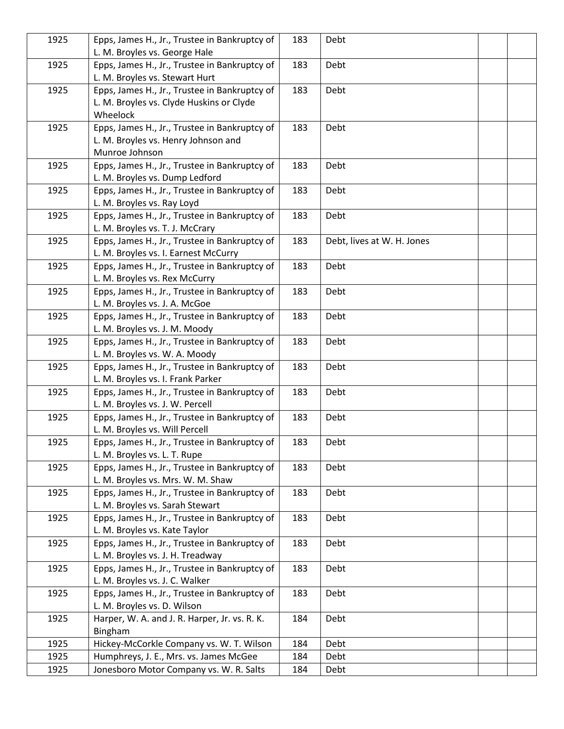| 1925 | Epps, James H., Jr., Trustee in Bankruptcy of       | 183 | Debt                       |  |
|------|-----------------------------------------------------|-----|----------------------------|--|
|      | L. M. Broyles vs. George Hale                       |     |                            |  |
| 1925 | Epps, James H., Jr., Trustee in Bankruptcy of       | 183 | Debt                       |  |
|      | L. M. Broyles vs. Stewart Hurt                      |     |                            |  |
| 1925 | Epps, James H., Jr., Trustee in Bankruptcy of       | 183 | Debt                       |  |
|      | L. M. Broyles vs. Clyde Huskins or Clyde            |     |                            |  |
|      | Wheelock                                            |     |                            |  |
| 1925 | Epps, James H., Jr., Trustee in Bankruptcy of       | 183 | Debt                       |  |
|      | L. M. Broyles vs. Henry Johnson and                 |     |                            |  |
|      | Munroe Johnson                                      |     |                            |  |
| 1925 | Epps, James H., Jr., Trustee in Bankruptcy of       | 183 | Debt                       |  |
|      | L. M. Broyles vs. Dump Ledford                      |     |                            |  |
| 1925 | Epps, James H., Jr., Trustee in Bankruptcy of       | 183 | Debt                       |  |
|      | L. M. Broyles vs. Ray Loyd                          |     |                            |  |
| 1925 | Epps, James H., Jr., Trustee in Bankruptcy of       | 183 | Debt                       |  |
|      | L. M. Broyles vs. T. J. McCrary                     |     |                            |  |
| 1925 | Epps, James H., Jr., Trustee in Bankruptcy of       | 183 | Debt, lives at W. H. Jones |  |
|      | L. M. Broyles vs. I. Earnest McCurry                |     |                            |  |
| 1925 | Epps, James H., Jr., Trustee in Bankruptcy of       | 183 | Debt                       |  |
|      | L. M. Broyles vs. Rex McCurry                       |     |                            |  |
| 1925 | Epps, James H., Jr., Trustee in Bankruptcy of       | 183 | Debt                       |  |
|      | L. M. Broyles vs. J. A. McGoe                       |     |                            |  |
| 1925 | Epps, James H., Jr., Trustee in Bankruptcy of       | 183 | Debt                       |  |
|      | L. M. Broyles vs. J. M. Moody                       |     |                            |  |
| 1925 | Epps, James H., Jr., Trustee in Bankruptcy of       | 183 | Debt                       |  |
|      | L. M. Broyles vs. W. A. Moody                       |     |                            |  |
| 1925 | Epps, James H., Jr., Trustee in Bankruptcy of       | 183 | Debt                       |  |
|      | L. M. Broyles vs. I. Frank Parker                   |     |                            |  |
| 1925 | Epps, James H., Jr., Trustee in Bankruptcy of       | 183 | Debt                       |  |
|      | L. M. Broyles vs. J. W. Percell                     |     |                            |  |
| 1925 | Epps, James H., Jr., Trustee in Bankruptcy of       | 183 | Debt                       |  |
|      | L. M. Broyles vs. Will Percell                      |     |                            |  |
| 1925 | Epps, James H., Jr., Trustee in Bankruptcy of       | 183 | Debt                       |  |
|      | L. M. Broyles vs. L. T. Rupe                        |     |                            |  |
| 1925 | Epps, James H., Jr., Trustee in Bankruptcy of       | 183 | Debt                       |  |
|      | L. M. Broyles vs. Mrs. W. M. Shaw                   |     |                            |  |
| 1925 | Epps, James H., Jr., Trustee in Bankruptcy of       | 183 | Debt                       |  |
|      | L. M. Broyles vs. Sarah Stewart                     |     |                            |  |
| 1925 | Epps, James H., Jr., Trustee in Bankruptcy of       | 183 | Debt                       |  |
|      | L. M. Broyles vs. Kate Taylor                       |     |                            |  |
| 1925 | Epps, James H., Jr., Trustee in Bankruptcy of       | 183 | Debt                       |  |
|      | L. M. Broyles vs. J. H. Treadway                    |     |                            |  |
| 1925 | Epps, James H., Jr., Trustee in Bankruptcy of       | 183 | Debt                       |  |
|      | L. M. Broyles vs. J. C. Walker                      |     |                            |  |
| 1925 | Epps, James H., Jr., Trustee in Bankruptcy of       | 183 | Debt                       |  |
|      | L. M. Broyles vs. D. Wilson                         |     |                            |  |
| 1925 | Harper, W. A. and J. R. Harper, Jr. vs. R. K.       | 184 | Debt                       |  |
|      |                                                     |     |                            |  |
| 1925 | Bingham<br>Hickey-McCorkle Company vs. W. T. Wilson | 184 |                            |  |
|      |                                                     |     | Debt                       |  |
| 1925 | Humphreys, J. E., Mrs. vs. James McGee              | 184 | Debt                       |  |
| 1925 | Jonesboro Motor Company vs. W. R. Salts             | 184 | Debt                       |  |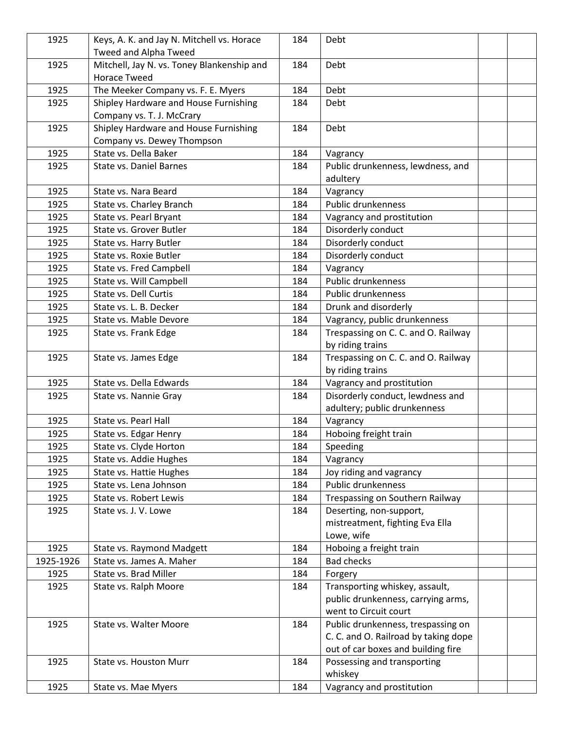| 1925      | Keys, A. K. and Jay N. Mitchell vs. Horace | 184 | Debt                                 |  |
|-----------|--------------------------------------------|-----|--------------------------------------|--|
|           | Tweed and Alpha Tweed                      |     |                                      |  |
| 1925      | Mitchell, Jay N. vs. Toney Blankenship and | 184 | Debt                                 |  |
|           | <b>Horace Tweed</b>                        |     |                                      |  |
| 1925      | The Meeker Company vs. F. E. Myers         | 184 | Debt                                 |  |
| 1925      | Shipley Hardware and House Furnishing      | 184 | Debt                                 |  |
|           | Company vs. T. J. McCrary                  |     |                                      |  |
| 1925      | Shipley Hardware and House Furnishing      | 184 | Debt                                 |  |
|           | Company vs. Dewey Thompson                 |     |                                      |  |
| 1925      | State vs. Della Baker                      | 184 | Vagrancy                             |  |
| 1925      | <b>State vs. Daniel Barnes</b>             | 184 | Public drunkenness, lewdness, and    |  |
|           |                                            |     | adultery                             |  |
| 1925      | State vs. Nara Beard                       | 184 | Vagrancy                             |  |
| 1925      | State vs. Charley Branch                   | 184 | Public drunkenness                   |  |
| 1925      | State vs. Pearl Bryant                     | 184 | Vagrancy and prostitution            |  |
| 1925      | State vs. Grover Butler                    | 184 | Disorderly conduct                   |  |
| 1925      | State vs. Harry Butler                     | 184 | Disorderly conduct                   |  |
| 1925      | State vs. Roxie Butler                     | 184 | Disorderly conduct                   |  |
| 1925      | State vs. Fred Campbell                    | 184 | Vagrancy                             |  |
| 1925      | State vs. Will Campbell                    | 184 | Public drunkenness                   |  |
| 1925      | State vs. Dell Curtis                      | 184 | Public drunkenness                   |  |
| 1925      | State vs. L. B. Decker                     | 184 | Drunk and disorderly                 |  |
| 1925      | State vs. Mable Devore                     | 184 | Vagrancy, public drunkenness         |  |
| 1925      | State vs. Frank Edge                       | 184 | Trespassing on C. C. and O. Railway  |  |
|           |                                            |     | by riding trains                     |  |
| 1925      | State vs. James Edge                       | 184 | Trespassing on C. C. and O. Railway  |  |
|           |                                            |     | by riding trains                     |  |
| 1925      | State vs. Della Edwards                    | 184 | Vagrancy and prostitution            |  |
| 1925      | State vs. Nannie Gray                      | 184 | Disorderly conduct, lewdness and     |  |
|           |                                            |     | adultery; public drunkenness         |  |
| 1925      | State vs. Pearl Hall                       | 184 | Vagrancy                             |  |
| 1925      | State vs. Edgar Henry                      | 184 | Hoboing freight train                |  |
| 1925      | State vs. Clyde Horton                     | 184 | Speeding                             |  |
| 1925      | State vs. Addie Hughes                     | 184 | Vagrancy                             |  |
| 1925      | State vs. Hattie Hughes                    | 184 | Joy riding and vagrancy              |  |
| 1925      | State vs. Lena Johnson                     | 184 | Public drunkenness                   |  |
| 1925      | State vs. Robert Lewis                     | 184 | Trespassing on Southern Railway      |  |
| 1925      | State vs. J. V. Lowe                       | 184 | Deserting, non-support,              |  |
|           |                                            |     | mistreatment, fighting Eva Ella      |  |
|           |                                            |     | Lowe, wife                           |  |
| 1925      | State vs. Raymond Madgett                  | 184 | Hoboing a freight train              |  |
| 1925-1926 | State vs. James A. Maher                   | 184 | <b>Bad checks</b>                    |  |
| 1925      | State vs. Brad Miller                      | 184 | Forgery                              |  |
| 1925      | State vs. Ralph Moore                      | 184 | Transporting whiskey, assault,       |  |
|           |                                            |     | public drunkenness, carrying arms,   |  |
|           |                                            |     | went to Circuit court                |  |
| 1925      | State vs. Walter Moore                     | 184 | Public drunkenness, trespassing on   |  |
|           |                                            |     | C. C. and O. Railroad by taking dope |  |
|           |                                            |     | out of car boxes and building fire   |  |
| 1925      | State vs. Houston Murr                     | 184 | Possessing and transporting          |  |
|           |                                            |     | whiskey                              |  |
| 1925      | State vs. Mae Myers                        | 184 | Vagrancy and prostitution            |  |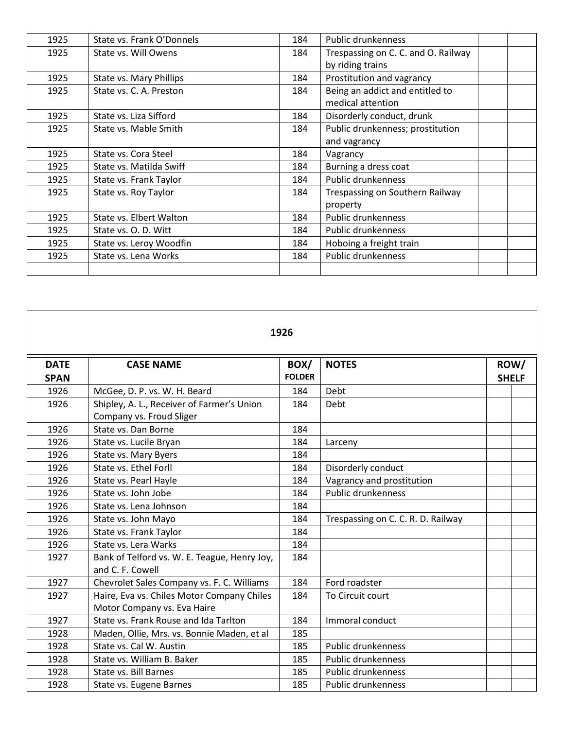| 1925 | State vs. Frank O'Donnels | 184 | <b>Public drunkenness</b>           |  |
|------|---------------------------|-----|-------------------------------------|--|
| 1925 | State vs. Will Owens      | 184 | Trespassing on C. C. and O. Railway |  |
|      |                           |     | by riding trains                    |  |
| 1925 | State vs. Mary Phillips   | 184 | Prostitution and vagrancy           |  |
| 1925 | State vs. C. A. Preston   | 184 | Being an addict and entitled to     |  |
|      |                           |     | medical attention                   |  |
| 1925 | State vs. Liza Sifford    | 184 | Disorderly conduct, drunk           |  |
| 1925 | State vs. Mable Smith     | 184 | Public drunkenness; prostitution    |  |
|      |                           |     | and vagrancy                        |  |
| 1925 | State vs. Cora Steel      | 184 | Vagrancy                            |  |
| 1925 | State vs. Matilda Swiff   | 184 | Burning a dress coat                |  |
| 1925 | State vs. Frank Taylor    | 184 | Public drunkenness                  |  |
| 1925 | State vs. Roy Taylor      | 184 | Trespassing on Southern Railway     |  |
|      |                           |     | property                            |  |
| 1925 | State vs. Elbert Walton   | 184 | Public drunkenness                  |  |
| 1925 | State vs. O. D. Witt      | 184 | Public drunkenness                  |  |
| 1925 | State vs. Leroy Woodfin   | 184 | Hoboing a freight train             |  |
| 1925 | State vs. Lena Works      | 184 | Public drunkenness                  |  |
|      |                           |     |                                     |  |

| 1926                       |                                                                           |                       |                                    |                      |  |  |  |
|----------------------------|---------------------------------------------------------------------------|-----------------------|------------------------------------|----------------------|--|--|--|
| <b>DATE</b><br><b>SPAN</b> | <b>CASE NAME</b>                                                          | BOX/<br><b>FOLDER</b> | <b>NOTES</b>                       | ROW/<br><b>SHELF</b> |  |  |  |
| 1926                       | McGee, D. P. vs. W. H. Beard                                              | 184                   | Debt                               |                      |  |  |  |
| 1926                       | Shipley, A. L., Receiver of Farmer's Union<br>Company vs. Froud Sliger    | 184                   | Debt                               |                      |  |  |  |
| 1926                       | State vs. Dan Borne                                                       | 184                   |                                    |                      |  |  |  |
| 1926                       | State vs. Lucile Bryan                                                    | 184                   | Larceny                            |                      |  |  |  |
| 1926                       | State vs. Mary Byers                                                      | 184                   |                                    |                      |  |  |  |
| 1926                       | State vs. Ethel Forll                                                     | 184                   | Disorderly conduct                 |                      |  |  |  |
| 1926                       | State vs. Pearl Hayle                                                     | 184                   | Vagrancy and prostitution          |                      |  |  |  |
| 1926                       | State vs. John Jobe                                                       | 184                   | <b>Public drunkenness</b>          |                      |  |  |  |
| 1926                       | State vs. Lena Johnson                                                    | 184                   |                                    |                      |  |  |  |
| 1926                       | State vs. John Mayo                                                       | 184                   | Trespassing on C. C. R. D. Railway |                      |  |  |  |
| 1926                       | State vs. Frank Taylor                                                    | 184                   |                                    |                      |  |  |  |
| 1926                       | State vs. Lera Warks                                                      | 184                   |                                    |                      |  |  |  |
| 1927                       | Bank of Telford vs. W. E. Teague, Henry Joy,<br>and C. F. Cowell          | 184                   |                                    |                      |  |  |  |
| 1927                       | Chevrolet Sales Company vs. F. C. Williams                                | 184                   | Ford roadster                      |                      |  |  |  |
| 1927                       | Haire, Eva vs. Chiles Motor Company Chiles<br>Motor Company vs. Eva Haire | 184                   | To Circuit court                   |                      |  |  |  |
| 1927                       | State vs. Frank Rouse and Ida Tarlton                                     | 184                   | Immoral conduct                    |                      |  |  |  |
| 1928                       | Maden, Ollie, Mrs. vs. Bonnie Maden, et al                                | 185                   |                                    |                      |  |  |  |
| 1928                       | State vs. Cal W. Austin                                                   | 185                   | <b>Public drunkenness</b>          |                      |  |  |  |
| 1928                       | State vs. William B. Baker                                                | 185                   | <b>Public drunkenness</b>          |                      |  |  |  |
| 1928                       | <b>State vs. Bill Barnes</b>                                              | 185                   | Public drunkenness                 |                      |  |  |  |
| 1928                       | State vs. Eugene Barnes                                                   | 185                   | Public drunkenness                 |                      |  |  |  |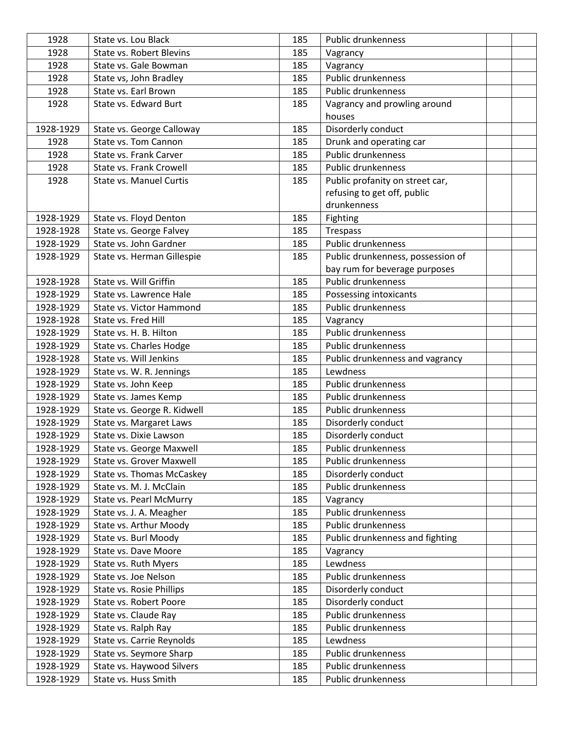| 1928      | State vs. Lou Black             | 185 | <b>Public drunkenness</b>         |  |
|-----------|---------------------------------|-----|-----------------------------------|--|
| 1928      | <b>State vs. Robert Blevins</b> | 185 | Vagrancy                          |  |
| 1928      | State vs. Gale Bowman           | 185 | Vagrancy                          |  |
| 1928      | State vs, John Bradley          | 185 | Public drunkenness                |  |
| 1928      | State vs. Earl Brown            | 185 | <b>Public drunkenness</b>         |  |
| 1928      | State vs. Edward Burt           | 185 | Vagrancy and prowling around      |  |
|           |                                 |     | houses                            |  |
| 1928-1929 | State vs. George Calloway       | 185 | Disorderly conduct                |  |
| 1928      | State vs. Tom Cannon            | 185 | Drunk and operating car           |  |
| 1928      | State vs. Frank Carver          | 185 | Public drunkenness                |  |
| 1928      | State vs. Frank Crowell         | 185 | Public drunkenness                |  |
| 1928      | <b>State vs. Manuel Curtis</b>  | 185 | Public profanity on street car,   |  |
|           |                                 |     | refusing to get off, public       |  |
|           |                                 |     | drunkenness                       |  |
| 1928-1929 | State vs. Floyd Denton          | 185 | Fighting                          |  |
| 1928-1928 | State vs. George Falvey         | 185 | Trespass                          |  |
| 1928-1929 | State vs. John Gardner          | 185 | Public drunkenness                |  |
| 1928-1929 | State vs. Herman Gillespie      | 185 | Public drunkenness, possession of |  |
|           |                                 |     | bay rum for beverage purposes     |  |
| 1928-1928 | State vs. Will Griffin          | 185 | Public drunkenness                |  |
| 1928-1929 | State vs. Lawrence Hale         | 185 | Possessing intoxicants            |  |
| 1928-1929 | State vs. Victor Hammond        | 185 | Public drunkenness                |  |
| 1928-1928 | State vs. Fred Hill             | 185 | Vagrancy                          |  |
| 1928-1929 | State vs. H. B. Hilton          | 185 | Public drunkenness                |  |
| 1928-1929 | State vs. Charles Hodge         | 185 | Public drunkenness                |  |
| 1928-1928 | State vs. Will Jenkins          | 185 | Public drunkenness and vagrancy   |  |
| 1928-1929 | State vs. W. R. Jennings        | 185 | Lewdness                          |  |
| 1928-1929 | State vs. John Keep             | 185 | Public drunkenness                |  |
| 1928-1929 | State vs. James Kemp            | 185 | Public drunkenness                |  |
| 1928-1929 | State vs. George R. Kidwell     | 185 | Public drunkenness                |  |
| 1928-1929 | State vs. Margaret Laws         | 185 | Disorderly conduct                |  |
| 1928-1929 | State vs. Dixie Lawson          | 185 | Disorderly conduct                |  |
| 1928-1929 | State vs. George Maxwell        | 185 | Public drunkenness                |  |
| 1928-1929 | State vs. Grover Maxwell        | 185 | Public drunkenness                |  |
| 1928-1929 | State vs. Thomas McCaskey       | 185 | Disorderly conduct                |  |
| 1928-1929 | State vs. M. J. McClain         | 185 | Public drunkenness                |  |
| 1928-1929 | State vs. Pearl McMurry         | 185 | Vagrancy                          |  |
| 1928-1929 | State vs. J. A. Meagher         | 185 | Public drunkenness                |  |
| 1928-1929 | State vs. Arthur Moody          | 185 | Public drunkenness                |  |
| 1928-1929 | State vs. Burl Moody            | 185 | Public drunkenness and fighting   |  |
| 1928-1929 | State vs. Dave Moore            | 185 | Vagrancy                          |  |
| 1928-1929 | State vs. Ruth Myers            | 185 | Lewdness                          |  |
| 1928-1929 | State vs. Joe Nelson            | 185 | Public drunkenness                |  |
| 1928-1929 | State vs. Rosie Phillips        | 185 | Disorderly conduct                |  |
| 1928-1929 | State vs. Robert Poore          | 185 | Disorderly conduct                |  |
| 1928-1929 | State vs. Claude Ray            | 185 | Public drunkenness                |  |
| 1928-1929 | State vs. Ralph Ray             | 185 | Public drunkenness                |  |
| 1928-1929 | State vs. Carrie Reynolds       | 185 | Lewdness                          |  |
| 1928-1929 | State vs. Seymore Sharp         | 185 | Public drunkenness                |  |
| 1928-1929 | State vs. Haywood Silvers       | 185 | Public drunkenness                |  |
| 1928-1929 | State vs. Huss Smith            | 185 | Public drunkenness                |  |